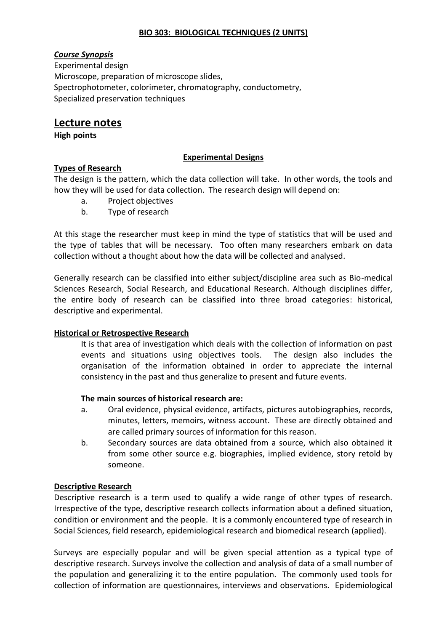### **BIO 303: BIOLOGICAL TECHNIQUES (2 UNITS)**

## *Course Synopsis*

Experimental design Microscope, preparation of microscope slides, Spectrophotometer, colorimeter, chromatography, conductometry, Specialized preservation techniques

# **Lecture notes**

**High points**

### **Experimental Designs**

### **Types of Research**

The design is the pattern, which the data collection will take. In other words, the tools and how they will be used for data collection. The research design will depend on:

- a. Project objectives
- b. Type of research

At this stage the researcher must keep in mind the type of statistics that will be used and the type of tables that will be necessary. Too often many researchers embark on data collection without a thought about how the data will be collected and analysed.

Generally research can be classified into either subject/discipline area such as Bio-medical Sciences Research, Social Research, and Educational Research. Although disciplines differ, the entire body of research can be classified into three broad categories: historical, descriptive and experimental.

## **Historical or Retrospective Research**

It is that area of investigation which deals with the collection of information on past events and situations using objectives tools. The design also includes the organisation of the information obtained in order to appreciate the internal consistency in the past and thus generalize to present and future events.

#### **The main sources of historical research are:**

- a. Oral evidence, physical evidence, artifacts, pictures autobiographies, records, minutes, letters, memoirs, witness account. These are directly obtained and are called primary sources of information for this reason.
- b. Secondary sources are data obtained from a source, which also obtained it from some other source e.g. biographies, implied evidence, story retold by someone.

## **Descriptive Research**

Descriptive research is a term used to qualify a wide range of other types of research. Irrespective of the type, descriptive research collects information about a defined situation, condition or environment and the people. It is a commonly encountered type of research in Social Sciences, field research, epidemiological research and biomedical research (applied).

Surveys are especially popular and will be given special attention as a typical type of descriptive research. Surveys involve the collection and analysis of data of a small number of the population and generalizing it to the entire population. The commonly used tools for collection of information are questionnaires, interviews and observations. Epidemiological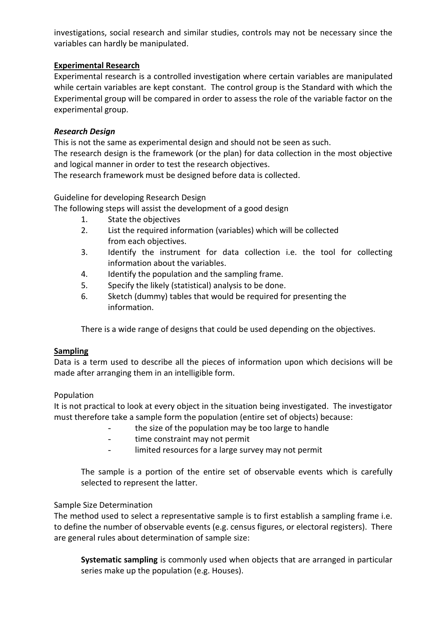investigations, social research and similar studies, controls may not be necessary since the variables can hardly be manipulated.

### **Experimental Research**

Experimental research is a controlled investigation where certain variables are manipulated while certain variables are kept constant. The control group is the Standard with which the Experimental group will be compared in order to assess the role of the variable factor on the experimental group.

### *Research Design*

This is not the same as experimental design and should not be seen as such. The research design is the framework (or the plan) for data collection in the most objective and logical manner in order to test the research objectives. The research framework must be designed before data is collected.

Guideline for developing Research Design

The following steps will assist the development of a good design

- 1. State the objectives
- 2. List the required information (variables) which will be collected from each objectives.
- 3. Identify the instrument for data collection i.e. the tool for collecting information about the variables.
- 4. Identify the population and the sampling frame.
- 5. Specify the likely (statistical) analysis to be done.
- 6. Sketch (dummy) tables that would be required for presenting the information.

There is a wide range of designs that could be used depending on the objectives.

#### **Sampling**

Data is a term used to describe all the pieces of information upon which decisions will be made after arranging them in an intelligible form.

## Population

It is not practical to look at every object in the situation being investigated. The investigator must therefore take a sample form the population (entire set of objects) because:

- the size of the population may be too large to handle
- time constraint may not permit
- limited resources for a large survey may not permit

The sample is a portion of the entire set of observable events which is carefully selected to represent the latter.

## Sample Size Determination

The method used to select a representative sample is to first establish a sampling frame i.e. to define the number of observable events (e.g. census figures, or electoral registers). There are general rules about determination of sample size:

**Systematic sampling** is commonly used when objects that are arranged in particular series make up the population (e.g. Houses).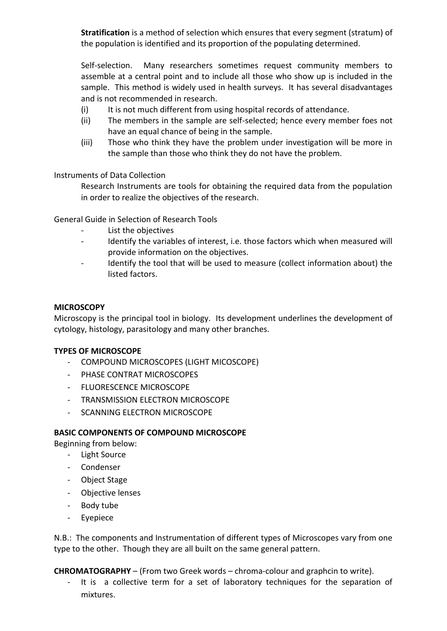**Stratification** is a method of selection which ensures that every segment (stratum) of the population is identified and its proportion of the populating determined.

Self-selection. Many researchers sometimes request community members to assemble at a central point and to include all those who show up is included in the sample. This method is widely used in health surveys. It has several disadvantages and is not recommended in research.

- (i) It is not much different from using hospital records of attendance.
- (ii) The members in the sample are self-selected; hence every member foes not have an equal chance of being in the sample.
- (iii) Those who think they have the problem under investigation will be more in the sample than those who think they do not have the problem.

Instruments of Data Collection

Research Instruments are tools for obtaining the required data from the population in order to realize the objectives of the research.

General Guide in Selection of Research Tools

- List the objectives
- Identify the variables of interest, i.e. those factors which when measured will provide information on the objectives.
- Identify the tool that will be used to measure (collect information about) the listed factors.

#### **MICROSCOPY**

Microscopy is the principal tool in biology. Its development underlines the development of cytology, histology, parasitology and many other branches.

#### **TYPES OF MICROSCOPE**

- COMPOUND MICROSCOPES (LIGHT MICOSCOPE)
- PHASE CONTRAT MICROSCOPES
- FLUORESCENCE MICROSCOPE
- TRANSMISSION FLECTRON MICROSCOPE
- SCANNING ELECTRON MICROSCOPE

#### **BASIC COMPONENTS OF COMPOUND MICROSCOPE**

Beginning from below:

- Light Source
- Condenser
- Object Stage
- Objective lenses
- Body tube
- Eyepiece

N.B.: The components and Instrumentation of different types of Microscopes vary from one type to the other. Though they are all built on the same general pattern.

**CHROMATOGRAPHY** – (From two Greek words – chroma-colour and graphcin to write).

It is a collective term for a set of laboratory techniques for the separation of mixtures.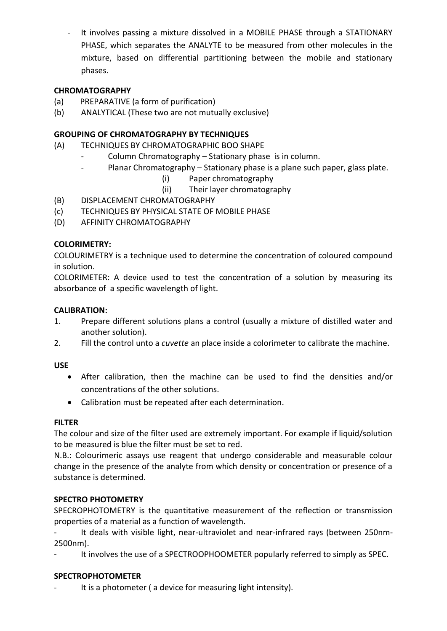It involves passing a mixture dissolved in a MOBILE PHASE through a STATIONARY PHASE, which separates the ANALYTE to be measured from other molecules in the mixture, based on differential partitioning between the mobile and stationary phases.

## **CHROMATOGRAPHY**

- (a) PREPARATIVE (a form of purification)
- (b) ANALYTICAL (These two are not mutually exclusive)

## **GROUPING OF CHROMATOGRAPHY BY TECHNIQUES**

- (A) TECHNIQUES BY CHROMATOGRAPHIC BOO SHAPE
	- Column Chromatography Stationary phase is in column.
	- Planar Chromatography Stationary phase is a plane such paper, glass plate.
		- (i) Paper chromatography
		- (ii) Their layer chromatography
- (B) DISPLACEMENT CHROMATOGRAPHY
- (c) TECHNIQUES BY PHYSICAL STATE OF MOBILE PHASE
- (D) AFFINITY CHROMATOGRAPHY

## **COLORIMETRY:**

COLOURIMETRY is a technique used to determine the concentration of coloured compound in solution.

COLORIMETER: A device used to test the concentration of a solution by measuring its absorbance of a specific wavelength of light.

## **CALIBRATION:**

- 1. Prepare different solutions plans a control (usually a mixture of distilled water and another solution).
- 2. Fill the control unto a *cuvette* an place inside a colorimeter to calibrate the machine.

## **USE**

- After calibration, then the machine can be used to find the densities and/or concentrations of the other solutions.
- Calibration must be repeated after each determination.

## **FILTER**

The colour and size of the filter used are extremely important. For example if liquid/solution to be measured is blue the filter must be set to red.

N.B.: Colourimeric assays use reagent that undergo considerable and measurable colour change in the presence of the analyte from which density or concentration or presence of a substance is determined.

## **SPECTRO PHOTOMETRY**

SPECROPHOTOMETRY is the quantitative measurement of the reflection or transmission properties of a material as a function of wavelength.

It deals with visible light, near-ultraviolet and near-infrared rays (between 250nm-2500nm).

It involves the use of a SPECTROOPHOOMETER popularly referred to simply as SPEC.

## **SPECTROPHOTOMETER**

It is a photometer ( a device for measuring light intensity).